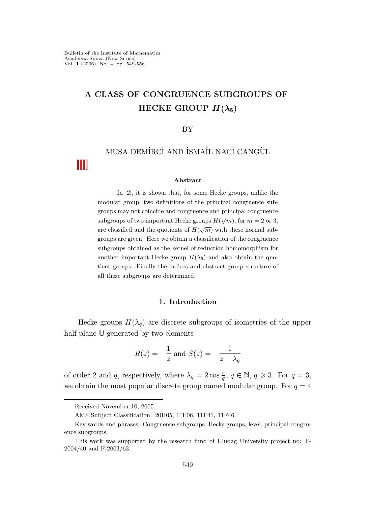# A CLASS OF CONGRUENCE SUBGROUPS OF HECKE GROUP  $H(\lambda_5)$

## BY

# MUSA DEMİRCİ AND İSMAİL NACİ CANGÜL

### Abstract

In [2], it is shown that, for some Hecke groups, unlike the modular group, two definitions of the principal congruence subgroups may not coincide and congruence and principal congruence subgroups of two important Hecke groups  $H(\sqrt{m})$ , for  $m=2$  or 3, are classified and the quotients of  $H(\sqrt{m})$  with these normal subgroups are given. Here we obtain a classification of the congruence subgroups obtained as the kernel of reduction homomorphism for another important Hecke group  $H(\lambda_5)$  and also obtain the quotient groups. Finally the indices and abstract group structure of all these subgroups are determined.

# 1. Introduction

Hecke groups  $H(\lambda_q)$  are discrete subgroups of isometries of the upper half plane U generated by two elements

$$
R(z) = -\frac{1}{z}
$$
 and 
$$
S(z) = -\frac{1}{z + \lambda_q}
$$

of order 2 and q, respectively, where  $\lambda_q = 2 \cos \frac{\pi}{q}$ ,  $q \in \mathbb{N}$ ,  $q \geq 3$ . For  $q = 3$ , we obtain the most popular discrete group named modular group. For  $q = 4$ 

Received November 10, 2005.

AMS Subject Classification: 20H05, 11F06, 11F41, 11F46.

Key words and phrases: Congruence subgroups, Hecke groups, level, principal congruence subgroups.

This work was supported by the research fund of Uludag University project no: F-2004/40 and F-2003/63.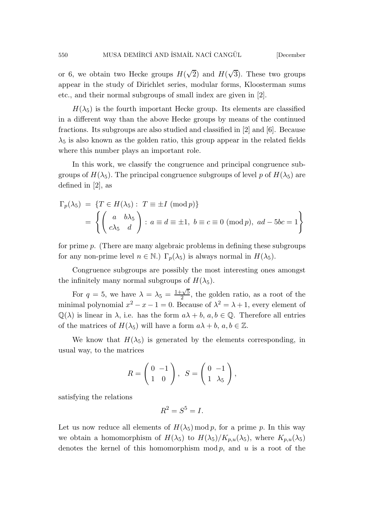or 6, we obtain two Hecke groups  $H(\sqrt{2})$  and  $H(\sqrt{3})$ . These two groups appear in the study of Dirichlet series, modular forms, Kloosterman sums etc., and their normal subgroups of small index are given in [2].

 $H(\lambda_5)$  is the fourth important Hecke group. Its elements are classified in a different way than the above Hecke groups by means of the continued fractions. Its subgroups are also studied and classified in [2] and [6]. Because  $\lambda_5$  is also known as the golden ratio, this group appear in the related fields where this number plays an important role.

In this work, we classify the congruence and principal congruence subgroups of  $H(\lambda_5)$ . The principal congruence subgroups of level p of  $H(\lambda_5)$  are defined in [2], as

$$
\Gamma_p(\lambda_5) = \{T \in H(\lambda_5) : T \equiv \pm I \pmod{p}\}
$$

$$
= \left\{ \begin{pmatrix} a & b\lambda_5 \\ c\lambda_5 & d \end{pmatrix} : a \equiv d \equiv \pm 1, b \equiv c \equiv 0 \pmod{p}, ad - 5bc = 1 \right\}
$$

for prime p. (There are many algebraic problems in defining these subgroups for any non-prime level  $n \in \mathbb{N}$ .)  $\Gamma_p(\lambda_5)$  is always normal in  $H(\lambda_5)$ .

Congruence subgroups are possibly the most interesting ones amongst the infinitely many normal subgroups of  $H(\lambda_5)$ .

For  $q = 5$ , we have  $\lambda = \lambda_5 = \frac{1+\sqrt{5}}{2}$  $\frac{-V5}{2}$ , the golden ratio, as a root of the minimal polynomial  $x^2 - x - 1 = 0$ . Because of  $\lambda^2 = \lambda + 1$ , every element of  $\mathbb{Q}(\lambda)$  is linear in  $\lambda$ , i.e. has the form  $a\lambda + b$ ,  $a, b \in \mathbb{Q}$ . Therefore all entries of the matrices of  $H(\lambda_5)$  will have a form  $a\lambda + b, a, b \in \mathbb{Z}$ .

We know that  $H(\lambda_5)$  is generated by the elements corresponding, in usual way, to the matrices

$$
R = \begin{pmatrix} 0 & -1 \\ 1 & 0 \end{pmatrix}, \quad S = \begin{pmatrix} 0 & -1 \\ 1 & \lambda_5 \end{pmatrix},
$$

satisfying the relations

$$
R^2 = S^5 = I.
$$

Let us now reduce all elements of  $H(\lambda_5) \mod p$ , for a prime p. In this way we obtain a homomorphism of  $H(\lambda_5)$  to  $H(\lambda_5)/K_{p,u}(\lambda_5)$ , where  $K_{p,u}(\lambda_5)$ denotes the kernel of this homomorphism mod  $p$ , and  $u$  is a root of the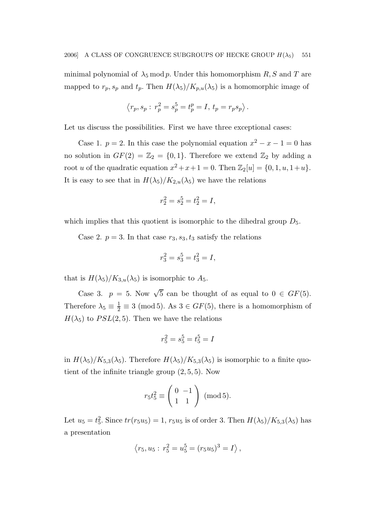minimal polynomial of  $\lambda_5 \mod p$ . Under this homomorphism R, S and T are mapped to  $r_p$ ,  $s_p$  and  $t_p$ . Then  $H(\lambda_5)/K_{p,u}(\lambda_5)$  is a homomorphic image of

$$
\langle r_p, s_p : r_p^2 = s_p^5 = t_p^p = I, t_p = r_p s_p \rangle.
$$

Let us discuss the possibilities. First we have three exceptional cases:

Case 1.  $p = 2$ . In this case the polynomial equation  $x^2 - x - 1 = 0$  has no solution in  $GF(2) = \mathbb{Z}_2 = \{0,1\}$ . Therefore we extend  $\mathbb{Z}_2$  by adding a root *u* of the quadratic equation  $x^2 + x + 1 = 0$ . Then  $\mathbb{Z}_2[u] = \{0, 1, u, 1+u\}$ . It is easy to see that in  $H(\lambda_5)/K_{2,u}(\lambda_5)$  we have the relations

$$
r_2^2 = s_2^5 = t_2^2 = I,
$$

which implies that this quotient is isomorphic to the dihedral group  $D_5$ .

Case 2.  $p = 3$ . In that case  $r_3$ ,  $s_3$ ,  $t_3$  satisfy the relations

$$
r_3^2 = s_3^5 = t_3^2 = I,
$$

that is  $H(\lambda_5)/K_{3,u}(\lambda_5)$  is isomorphic to  $A_5$ .

Case 3.  $p = 5$ . Now  $\sqrt{5}$  can be thought of as equal to  $0 \in GF(5)$ . Therefore  $\lambda_5 \equiv \frac{1}{2} \equiv 3 \pmod{5}$ . As  $3 \in GF(5)$ , there is a homomorphism of  $H(\lambda_5)$  to  $PSL(2, 5)$ . Then we have the relations

$$
r_5^2 = s_5^5 = t_5^5 = I
$$

in  $H(\lambda_5)/K_{5,3}(\lambda_5)$ . Therefore  $H(\lambda_5)/K_{5,3}(\lambda_5)$  is isomorphic to a finite quotient of the infinite triangle group (2, 5, 5). Now

$$
r_5 t_5^2 \equiv \left(\begin{array}{cc} 0 & -1 \\ 1 & 1 \end{array}\right) \text{ (mod 5)}.
$$

Let  $u_5 = t_5^2$ . Since  $tr(r_5u_5) = 1, r_5u_5$  is of order 3. Then  $H(\lambda_5)/K_{5,3}(\lambda_5)$  has a presentation

$$
\langle r_5, u_5 : r_5^2 = u_5^5 = (r_5 u_5)^3 = I \rangle,
$$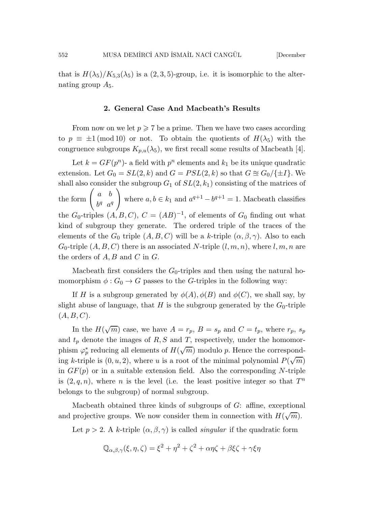that is  $H(\lambda_5)/K_{5,3}(\lambda_5)$  is a  $(2,3,5)$ -group, i.e. it is isomorphic to the alternating group  $A_5$ .

## 2. General Case And Macbeath's Results

From now on we let  $p \ge 7$  be a prime. Then we have two cases according to  $p \equiv \pm 1 \pmod{10}$  or not. To obtain the quotients of  $H(\lambda_5)$  with the congruence subgroups  $K_{p,u}(\lambda_5)$ , we first recall some results of Macbeath [4].

Let  $k = GF(p^n)$ - a field with  $p^n$  elements and  $k_1$  be its unique quadratic extension. Let  $G_0 = SL(2, k)$  and  $G = PSL(2, k)$  so that  $G \approx G_0 / \{\pm I\}$ . We shall also consider the subgroup  $G_1$  of  $SL(2, k_1)$  consisting of the matrices of the form  $\begin{pmatrix} a & b \\ ba & c \end{pmatrix}$  $b^q$   $a^q$  $\setminus$ where  $a, b \in k_1$  and  $a^{q+1} - b^{q+1} = 1$ . Macbeath classifies the  $G_0$ -triples  $(A, B, C), C = (AB)^{-1}$ , of elements of  $G_0$  finding out what kind of subgroup they generate. The ordered triple of the traces of the elements of the  $G_0$  triple  $(A, B, C)$  will be a k-triple  $(\alpha, \beta, \gamma)$ . Also to each  $G_0$ -triple  $(A, B, C)$  there is an associated N-triple  $(l, m, n)$ , where  $l, m, n$  are the orders of  $A, B$  and  $C$  in  $G$ .

Macbeath first considers the  $G_0$ -triples and then using the natural homomorphism  $\phi: G_0 \to G$  passes to the G-triples in the following way:

If H is a subgroup generated by  $\phi(A), \phi(B)$  and  $\phi(C)$ , we shall say, by slight abuse of language, that H is the subgroup generated by the  $G_0$ -triple  $(A, B, C).$ 

In the  $H(\sqrt{m})$  case, we have  $A = r_p$ ,  $B = s_p$  and  $C = t_p$ , where  $r_p$ ,  $s_p$ and  $t_p$  denote the images of  $R, S$  and  $T$ , respectively, under the homomorphism  $\varphi_p^*$  reducing all elements of  $H(\sqrt{m})$  modulo p. Hence the corresponding k-triple is  $(0, u, 2)$ , where u is a root of the minimal polynomial  $P(\sqrt{m})$ in  $GF(p)$  or in a suitable extension field. Also the corresponding N-triple is  $(2, q, n)$ , where *n* is the level (i.e. the least positive integer so that  $T^n$ belongs to the subgroup) of normal subgroup.

Macbeath obtained three kinds of subgroups of  $G$ : affine, exceptional and projective groups. We now consider them in connection with  $H(\sqrt{m})$ .

Let  $p > 2$ . A k-triple  $(\alpha, \beta, \gamma)$  is called *singular* if the quadratic form

$$
\mathbb{Q}_{\alpha,\beta,\gamma}(\xi,\eta,\zeta) = \xi^2 + \eta^2 + \zeta^2 + \alpha\eta\zeta + \beta\xi\zeta + \gamma\xi\eta
$$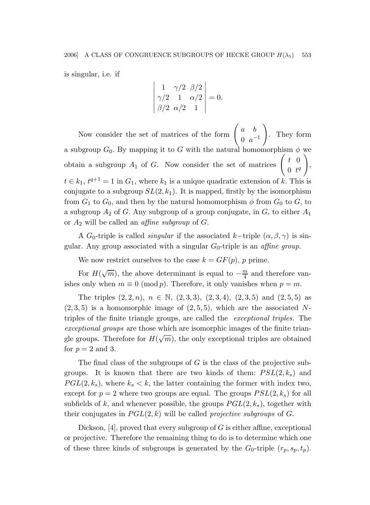is singular, i.e. if

$$
\begin{vmatrix} 1 & \gamma/2 & \beta/2 \\ \gamma/2 & 1 & \alpha/2 \\ \beta/2 & \alpha/2 & 1 \end{vmatrix} = 0.
$$

Now consider the set of matrices of the form  $\begin{pmatrix} a & b \\ 0 & -a \end{pmatrix}$  $0 \, a^{-1}$  $\setminus$ . They form a subgroup  $G_0$ . By mapping it to G with the natural homomorphism  $\phi$  we obtain a subgroup  $A_1$  of G. Now consider the set of matrices  $\begin{pmatrix} t & 0 \\ 0 & t \end{pmatrix}$  $0 \t t^q$  $\setminus$ ,  $t \in k_1$ ,  $t^{q+1} = 1$  in  $G_1$ , where  $k_1$  is a unique quadratic extension of k. This is conjugate to a subgroup  $SL(2, k_1)$ . It is mapped, firstly by the isomorphism from  $G_1$  to  $G_0$ , and then by the natural homomorphism  $\phi$  from  $G_0$  to  $G$ , to a subgroup  $A_2$  of G. Any subgroup of a group conjugate, in G, to either  $A_1$ or  $A_2$  will be called an *affine subgroup* of  $G$ .

A G<sub>0</sub>-triple is called *singular* if the associated k–triple  $(\alpha, \beta, \gamma)$  is singular. Any group associated with a singular  $G_0$ -triple is an *affine group*.

We now restrict ourselves to the case  $k = GF(p)$ , p prime.

For  $H(\sqrt{m})$ , the above determinant is equal to  $-\frac{m}{4}$  $\frac{m}{4}$  and therefore vanishes only when  $m \equiv 0 \pmod{p}$ . Therefore, it only vanishes when  $p = m$ .

The triples  $(2, 2, n)$ ,  $n \in \mathbb{N}$ ,  $(2, 3, 3)$ ,  $(2, 3, 4)$ ,  $(2, 3, 5)$  and  $(2, 5, 5)$  as  $(2, 3, 5)$  is a homomorphic image of  $(2, 5, 5)$ , which are the associated Ntriples of the finite triangle groups, are called the exceptional triples. The exceptional groups are those which are isomorphic images of the finite triangle groups. Therefore for  $H(\sqrt{m})$ , the only exceptional triples are obtained for  $p = 2$  and 3.

The final class of the subgroups of  $G$  is the class of the projective subgroups. It is known that there are two kinds of them:  $PSL(2, k_s)$  and  $PGL(2, k_s)$ , where  $k_s < k$ , the latter containing the former with index two, except for  $p = 2$  where two groups are equal. The groups  $PSL(2, k_s)$  for all subfields of k, and whenever possible, the groups  $PGL(2, k_s)$ , together with their conjugates in  $PGL(2,k)$  will be called *projective subgroups* of G.

Dickson,  $[4]$ , proved that every subgroup of G is either affine, exceptional or projective. Therefore the remaining thing to do is to determine which one of these three kinds of subgroups is generated by the  $G_0$ -triple  $(r_p, s_p, t_p)$ .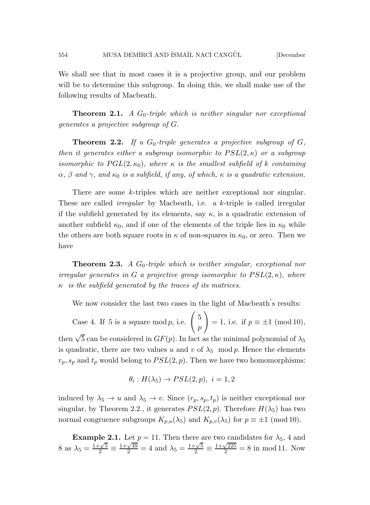We shall see that in most cases it is a projective group, and our problem will be to determine this subgroup. In doing this, we shall make use of the following results of Macbeath.

**Theorem 2.1.** A  $G_0$ -triple which is neither singular nor exceptional generates a projective subgroup of G.

**Theorem 2.2.** If a  $G_0$ -triple generates a projective subgroup of  $G$ , then it generates either a subgroup isomorphic to  $PSL(2, \kappa)$  or a subgroup isomorphic to  $PGL(2, \kappa_0)$ , where  $\kappa$  is the smallest subfield of k containing  $\alpha$ ,  $\beta$  and  $\gamma$ , and  $\kappa_0$  is a subfield, if any, of which,  $\kappa$  is a quadratic extension.

There are some k-triples which are neither exceptional nor singular. These are called *irregular* by Macbeath, i.e. a  $k$ -triple is called irregular if the subfield generated by its elements, say  $\kappa$ , is a quadratic extension of another subfield  $\kappa_0$ , and if one of the elements of the triple lies in  $\kappa_0$  while the others are both square roots in  $\kappa$  of non-squares in  $\kappa_0$ , or zero. Then we have

**Theorem 2.3.** A  $G_0$ -triple which is neither singular, exceptional nor irregular generates in G a projective group isomorphic to  $PSL(2, \kappa)$ , where  $\kappa$  is the subfield generated by the traces of its matrices.

We now consider the last two cases in the light of Macbeath's results:

Case 4. If 5 is a square mod p, i.e.  $\left(5\right)$ p  $\setminus$  $= 1$ , i.e. if  $p \equiv \pm 1 \pmod{10}$ , then  $\sqrt{5}$  can be considered in  $GF(p)$ . In fact as the minimal polynomial of  $\lambda_5$ is quadratic, there are two values u and v of  $\lambda_5 \mod p$ . Hence the elements  $r_p, s_p$  and  $t_p$  would belong to  $PSL(2, p)$ . Then we have two homomorphisms:

$$
\theta_i: H(\lambda_5) \to PSL(2, p), i = 1, 2
$$

induced by  $\lambda_5 \to u$  and  $\lambda_5 \to v$ . Since  $(r_p, s_p, t_p)$  is neither exceptional nor singular, by Theorem 2.2., it generates  $PSL(2, p)$ . Therefore  $H(\lambda_5)$  has two normal congruence subgroups  $K_{p,u}(\lambda_5)$  and  $K_{p,v}(\lambda_5)$  for  $p \equiv \pm 1 \pmod{10}$ .

**Example 2.1.** Let  $p = 11$ . Then there are two candidates for  $\lambda_5$ , 4 and 8 as  $\lambda_5 = \frac{1+\sqrt{5}}{2} \equiv$  $\frac{1+\sqrt{49}}{2}$  = 4 and  $\lambda_5 = \frac{1+\sqrt{5}}{2}$   $\equiv$  $\frac{1+\sqrt{225}}{2} = 8$  in mod 11. Now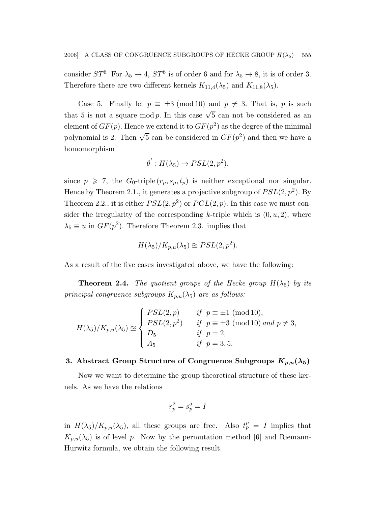consider  $ST^6$ . For  $\lambda_5 \to 4$ ,  $ST^6$  is of order 6 and for  $\lambda_5 \to 8$ , it is of order 3. Therefore there are two different kernels  $K_{11,4}(\lambda_5)$  and  $K_{11,8}(\lambda_5)$ .

Case 5. Finally let  $p \equiv \pm 3 \pmod{10}$  and  $p \neq 3$ . That is, p is such that 5 is not a square mod p. In this case  $\sqrt{5}$  can not be considered as an element of  $GF(p)$ . Hence we extend it to  $GF(p^2)$  as the degree of the minimal polynomial is 2. Then  $\sqrt{5}$  can be considered in  $GF(p^2)$  and then we have a homomorphism

$$
\theta': H(\lambda_5) \to PSL(2, p^2).
$$

since  $p \geq 7$ , the  $G_0$ -triple  $(r_p, s_p, t_p)$  is neither exceptional nor singular. Hence by Theorem 2.1., it generates a projective subgroup of  $PSL(2, p^2)$ . By Theorem 2.2., it is either  $PSL(2, p^2)$  or  $PGL(2, p)$ . In this case we must consider the irregularity of the corresponding k-triple which is  $(0, u, 2)$ , where  $\lambda_5 \equiv u$  in  $GF(p^2)$ . Therefore Theorem 2.3. implies that

$$
H(\lambda_5)/K_{p,u}(\lambda_5) \cong PSL(2,p^2).
$$

As a result of the five cases investigated above, we have the following:

**Theorem 2.4.** The quotient groups of the Hecke group  $H(\lambda_5)$  by its principal congruence subgroups  $K_{p,u}(\lambda_5)$  are as follows:

$$
H(\lambda_5)/K_{p,u}(\lambda_5) \approx \begin{cases} PSL(2,p) & \text{if } p \equiv \pm 1 \pmod{10}, \\ PSL(2,p^2) & \text{if } p \equiv \pm 3 \pmod{10} \text{ and } p \neq 3, \\ D_5 & \text{if } p = 2, \\ A_5 & \text{if } p = 3, 5. \end{cases}
$$

# 3. Abstract Group Structure of Congruence Subgroups  $K_{p,u}(\lambda_5)$

Now we want to determine the group theoretical structure of these kernels. As we have the relations

$$
r_p^2=s_p^5={\cal I}
$$

in  $H(\lambda_5)/K_{p,u}(\lambda_5)$ , all these groups are free. Also  $t_p^p = I$  implies that  $K_{p,u}(\lambda_5)$  is of level p. Now by the permutation method [6] and Riemann-Hurwitz formula, we obtain the following result.